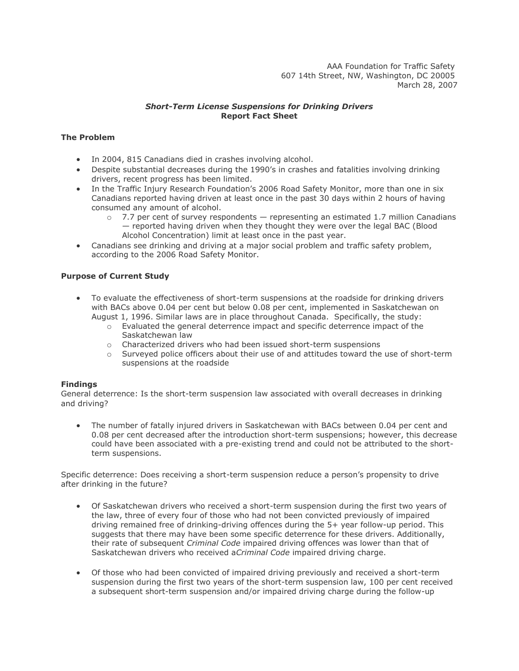AAA Foundation for Traffic Safety 607 14th Street, NW, Washington, DC 20005 March 28, 2007

## *Short-Term License Suspensions for Drinking Drivers* **Report Fact Sheet**

# **The Problem**

- In 2004, 815 Canadians died in crashes involving alcohol.
- Despite substantial decreases during the 1990's in crashes and fatalities involving drinking drivers, recent progress has been limited.
- In the Traffic Injury Research Foundation's 2006 Road Safety Monitor, more than one in six Canadians reported having driven at least once in the past 30 days within 2 hours of having consumed any amount of alcohol.
	- $\circ$  7.7 per cent of survey respondents  $-$  representing an estimated 1.7 million Canadians — reported having driven when they thought they were over the legal BAC (Blood Alcohol Concentration) limit at least once in the past year.
- Canadians see drinking and driving at a major social problem and traffic safety problem, according to the 2006 Road Safety Monitor.

## **Purpose of Current Study**

- To evaluate the effectiveness of short-term suspensions at the roadside for drinking drivers with BACs above 0.04 per cent but below 0.08 per cent, implemented in Saskatchewan on August 1, 1996. Similar laws are in place throughout Canada. Specifically, the study:
	- o Evaluated the general deterrence impact and specific deterrence impact of the Saskatchewan law
	- $\circ$  Characterized drivers who had been issued short-term suspensions  $\circ$  Surveved police officers about their use of and attitudes toward the
	- Surveyed police officers about their use of and attitudes toward the use of short-term suspensions at the roadside

#### **Findings**

General deterrence: Is the short-term suspension law associated with overall decreases in drinking and driving?

 The number of fatally injured drivers in Saskatchewan with BACs between 0.04 per cent and 0.08 per cent decreased after the introduction short-term suspensions; however, this decrease could have been associated with a pre-existing trend and could not be attributed to the shortterm suspensions.

Specific deterrence: Does receiving a short-term suspension reduce a person's propensity to drive after drinking in the future?

- Of Saskatchewan drivers who received a short-term suspension during the first two years of the law, three of every four of those who had not been convicted previously of impaired driving remained free of drinking-driving offences during the 5+ year follow-up period. This suggests that there may have been some specific deterrence for these drivers. Additionally, their rate of subsequent *Criminal Code* impaired driving offences was lower than that of Saskatchewan drivers who received a*Criminal Code* impaired driving charge.
- Of those who had been convicted of impaired driving previously and received a short-term suspension during the first two years of the short-term suspension law, 100 per cent received a subsequent short-term suspension and/or impaired driving charge during the follow-up